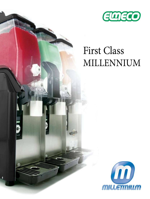

# First Class Millennium

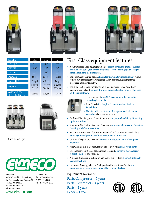





| <b>MODEL</b>                                | FC1                | FC <sub>2</sub>    | FC <sub>3</sub>     |
|---------------------------------------------|--------------------|--------------------|---------------------|
| <b>HEIGHT</b>                               | 31"                | 31"                | 31"                 |
| <b>WIDTH</b>                                | 9,5"               | 16"                | 24"                 |
| <b>DEPTH</b>                                | 22"                | 22"                | 22"                 |
| <b>WEIGHT</b>                               | $68$ lbs           | $114$ lbs          | $141$ lbs           |
| <b>CAPACITY</b>                             | 3.2 gal            | $6.4$ gal          | 9.6 gal             |
| <b>POWER</b>                                | $0.67$ HP<br>500 W | $1.22$ HP<br>900 W | $1.63$ HP<br>1350 W |
| <b>VOLTAGE (V)</b><br><b>FREQUENCY (Hz)</b> | 115/60             | 115/60             | 115/60              |





Distributed by:



Elmeco srl 80025 Casandrino (Napoli) Italy Via Circumvallazione Esterna, 12 Tel. +39 081/5055724 Fax +39 081/5055726 info@elmeco.com

U.S. Subsidiary Tel: 1-504-248-5759, 1-877-4ELMECO Fax: 1-504-248-5770

## First Class equipment features

- **◆** A Multipurpose Cold Beverage Dispenser **perfect for Italian granita, slushies, frozen or iced coffee/tea, frozen margaritas, sorbet, frozen yoghurt, sangria, lemonade and much, much more.**
- **◆** The First Class patented design **eliminates "preventative maintenance"** (versus competetive manufacturers, where mandatory preventative maintenance is required annually & costly).
- **◆** The drive shaft of each First Class unit is manufactured with a "Seal-Less" patent, which makes it **uniquely the most hygienic & safest product of its kind on the market today.**
	- **◆** Our equipment **does NOT require periodic lubrication or seal replacements.**



- **◆** First Class is **the simplest & easiest machine to clean & maintain.**
- **◆ User-friendly, easy-to-read & programmable electronic controls** make operation a snap.
- **◆** On-board "AutoDiagnostic" functions ensure **longer product life by eliminating equipment misuse.**
- **◆** Programmable "Defrost Activation" sequence **automatically places machine into "Standby Mode" at pre-set time.**
- **◆** Each unit is armed with "Critical Temperature" & "Low Product Level" alerts, **ensuring optimal product readiness & equipment productivity.**
- **◆** On-board "Digital Clock/Timer" **records & tracks, total hours of equipment operation.**
- **◆** First Class machines are manufactured to comply with **HACCP Standards.**
- **◆** Our innovative First Class design makes each unit **a powerful merchandiser & profit center** for any business.
- **◆** A manual & electronic locking system makes our products **a perfect fit for self- -service locations.**
- **◆** Our strong & energy-efficient "Refrigeration Process System" make **our equipment's preparation cycle process the fastest in its class.**

Equipment warranty: **Parts/Compressor – 5 years Parts/Electronics – 3 years Parts – 2 years Labor – 1 year**





#### www.elmeco.com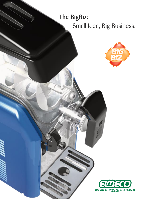## The BigBiz: Small Idea, Big Business.